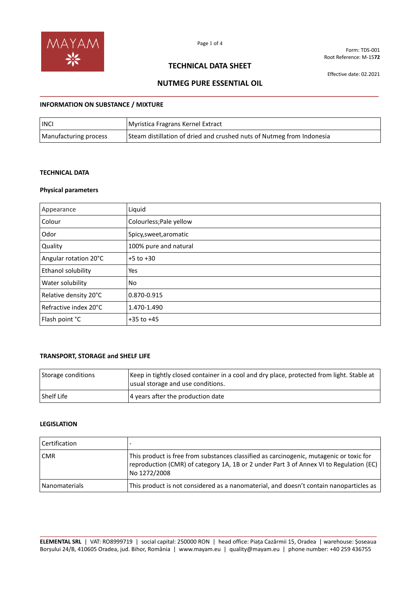

Form: TDS-001 Root Reference: M-15**72**

## **TECHNICAL DATA SHEET**

Effective date: 02.2021

# **NUTMEG PURE ESSENTIAL OIL \_\_\_\_\_\_\_\_\_\_\_\_\_\_\_\_\_\_\_\_\_\_\_\_\_\_\_\_\_\_\_\_\_\_\_\_\_\_\_\_\_\_\_\_\_\_\_\_\_\_\_\_\_\_\_\_\_\_\_\_\_\_\_\_\_\_\_\_\_\_\_\_\_\_\_\_\_\_\_\_**

#### **INFORMATION ON SUBSTANCE / MIXTURE**

| <b>INCI</b>           | Myristica Fragrans Kernel Extract                                     |
|-----------------------|-----------------------------------------------------------------------|
| Manufacturing process | Steam distillation of dried and crushed nuts of Nutmeg from Indonesia |

### **TECHNICAL DATA**

### **Physical parameters**

| Appearance            | Liquid                  |
|-----------------------|-------------------------|
| Colour                | Colourless; Pale yellow |
| Odor                  | Spicy, sweet, aromatic  |
| Quality               | 100% pure and natural   |
| Angular rotation 20°C | $+5$ to $+30$           |
| Ethanol solubility    | Yes                     |
| Water solubility      | No                      |
| Relative density 20°C | 0.870-0.915             |
| Refractive index 20°C | 1.470-1.490             |
| Flash point °C        | $+35$ to $+45$          |

### **TRANSPORT, STORAGE and SHELF LIFE**

| Storage conditions | Keep in tightly closed container in a cool and dry place, protected from light. Stable at<br>usual storage and use conditions. |
|--------------------|--------------------------------------------------------------------------------------------------------------------------------|
| <b>Shelf Life</b>  | 4 years after the production date                                                                                              |

#### **LEGISLATION**

| <b>Certification</b> |                                                                                                                                                                                                   |
|----------------------|---------------------------------------------------------------------------------------------------------------------------------------------------------------------------------------------------|
| <b>CMR</b>           | This product is free from substances classified as carcinogenic, mutagenic or toxic for<br>reproduction (CMR) of category 1A, 1B or 2 under Part 3 of Annex VI to Regulation (EC)<br>No 1272/2008 |
| <b>Nanomaterials</b> | This product is not considered as a nanomaterial, and doesn't contain nanoparticles as                                                                                                            |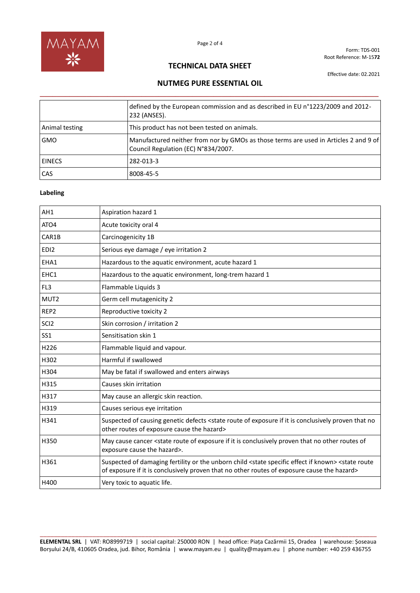

Form: TDS-001 Root Reference: M-15**72**

## **TECHNICAL DATA SHEET**

Effective date: 02.2021

# **NUTMEG PURE ESSENTIAL OIL \_\_\_\_\_\_\_\_\_\_\_\_\_\_\_\_\_\_\_\_\_\_\_\_\_\_\_\_\_\_\_\_\_\_\_\_\_\_\_\_\_\_\_\_\_\_\_\_\_\_\_\_\_\_\_\_\_\_\_\_\_\_\_\_\_\_\_\_\_\_\_\_\_\_\_\_\_\_\_\_**

|                | defined by the European commission and as described in EU n°1223/2009 and 2012-<br>232 (ANSES).                             |
|----------------|-----------------------------------------------------------------------------------------------------------------------------|
| Animal testing | This product has not been tested on animals.                                                                                |
| <b>GMO</b>     | Manufactured neither from nor by GMOs as those terms are used in Articles 2 and 9 of<br>Council Regulation (EC) N°834/2007. |
| <b>EINECS</b>  | 282-013-3                                                                                                                   |
| CAS            | 8008-45-5                                                                                                                   |

### **Labeling**

| AH1              | Aspiration hazard 1                                                                                                                                                                                                                |
|------------------|------------------------------------------------------------------------------------------------------------------------------------------------------------------------------------------------------------------------------------|
| ATO4             | Acute toxicity oral 4                                                                                                                                                                                                              |
| CAR1B            | Carcinogenicity 1B                                                                                                                                                                                                                 |
| EDI <sub>2</sub> | Serious eye damage / eye irritation 2                                                                                                                                                                                              |
| EHA1             | Hazardous to the aquatic environment, acute hazard 1                                                                                                                                                                               |
| EHC1             | Hazardous to the aquatic environment, long-trem hazard 1                                                                                                                                                                           |
| FL <sub>3</sub>  | Flammable Liquids 3                                                                                                                                                                                                                |
| MUT <sub>2</sub> | Germ cell mutagenicity 2                                                                                                                                                                                                           |
| REP <sub>2</sub> | Reproductive toxicity 2                                                                                                                                                                                                            |
| SCI <sub>2</sub> | Skin corrosion / irritation 2                                                                                                                                                                                                      |
| SS1              | Sensitisation skin 1                                                                                                                                                                                                               |
| H226             | Flammable liquid and vapour.                                                                                                                                                                                                       |
| H302             | Harmful if swallowed                                                                                                                                                                                                               |
| H304             | May be fatal if swallowed and enters airways                                                                                                                                                                                       |
| H315             | Causes skin irritation                                                                                                                                                                                                             |
| H317             | May cause an allergic skin reaction.                                                                                                                                                                                               |
| H319             | Causes serious eye irritation                                                                                                                                                                                                      |
| H341             | Suspected of causing genetic defects <state conclusively="" exposure="" if="" is="" it="" no<br="" of="" proven="" route="" that="">other routes of exposure cause the hazard&gt;</state>                                          |
| H350             | May cause cancer <state conclusively="" exposure="" if="" is="" it="" no="" of="" of<br="" other="" proven="" route="" routes="" that="">exposure cause the hazard&gt;.</state>                                                    |
| H361             | Suspected of damaging fertility or the unborn child <state effect="" if="" known="" specific=""> <state route<br="">of exposure if it is conclusively proven that no other routes of exposure cause the hazard&gt;</state></state> |
| H400             | Very toxic to aquatic life.                                                                                                                                                                                                        |

\_\_\_\_\_\_\_\_\_\_\_\_\_\_\_\_\_\_\_\_\_\_\_\_\_\_\_\_\_\_\_\_\_\_\_\_\_\_\_\_\_\_\_\_\_\_\_\_\_\_\_\_\_\_\_\_\_\_\_\_\_\_\_\_\_\_\_\_\_\_\_\_\_\_\_\_\_\_\_\_\_\_\_\_\_\_\_\_\_\_\_\_\_\_\_\_ **ELEMENTAL SRL** | VAT: RO8999719 | social capital: 250000 RON | head office: Piața Cazărmii 15, Oradea | warehouse: Șoseaua Borșului 24/B, 410605 Oradea, jud. Bihor, România | www.mayam.eu | quality@mayam.eu | phone number: +40 259 436755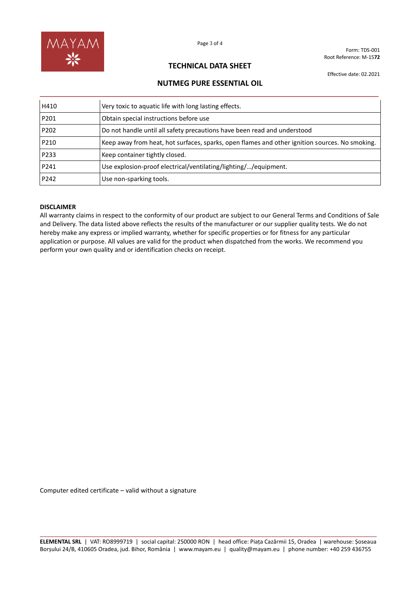

Form: TDS-001 Root Reference: M-15**72**

## **TECHNICAL DATA SHEET**

**NUTMEG PURE ESSENTIAL OIL**

Effective date: 02.2021

| H410 | Very toxic to aquatic life with long lasting effects.                                          |
|------|------------------------------------------------------------------------------------------------|
| P201 | Obtain special instructions before use                                                         |
| P202 | Do not handle until all safety precautions have been read and understood                       |
| P210 | Keep away from heat, hot surfaces, sparks, open flames and other ignition sources. No smoking. |
| P233 | Keep container tightly closed.                                                                 |

P241 Use explosion-proof electrical/ventilating/lighting/…/equipment.

#### **DISCLAIMER**

P242 **Use non-sparking tools.** 

All warranty claims in respect to the conformity of our product are subject to our General Terms and Conditions of Sale and Delivery. The data listed above reflects the results of the manufacturer or our supplier quality tests. We do not hereby make any express or implied warranty, whether for specific properties or for fitness for any particular application or purpose. All values are valid for the product when dispatched from the works. We recommend you perform your own quality and or identification checks on receipt.

Computer edited certificate – valid without a signature